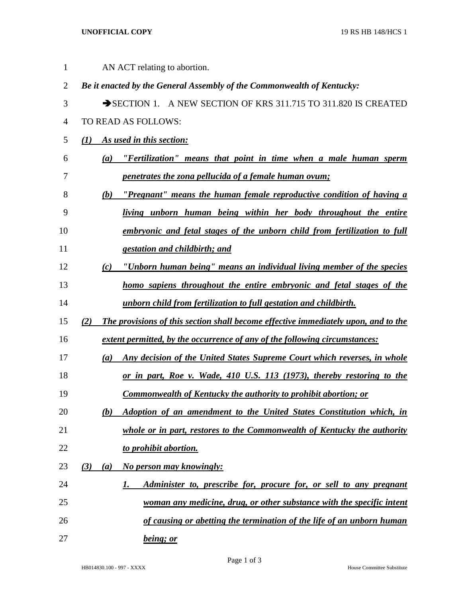## **UNOFFICIAL COPY** 19 RS HB 148/HCS 1

| $\mathbf{1}$   | AN ACT relating to abortion.                                                              |
|----------------|-------------------------------------------------------------------------------------------|
| $\overline{2}$ | Be it enacted by the General Assembly of the Commonwealth of Kentucky:                    |
| 3              | SECTION 1. A NEW SECTION OF KRS 311.715 TO 311.820 IS CREATED                             |
| 4              | TO READ AS FOLLOWS:                                                                       |
| 5              | (1)<br><b>As used in this section:</b>                                                    |
| 6              | "Fertilization" means that point in time when a male human sperm<br>(a)                   |
| 7              | penetrates the zona pellucida of a female human ovum;                                     |
| 8              | "Pregnant" means the human female reproductive condition of having a<br>(b)               |
| 9              | living unborn human being within her body throughout the entire                           |
| 10             | embryonic and fetal stages of the unborn child from fertilization to full                 |
| 11             | gestation and childbirth; and                                                             |
| 12             | "Unborn human being" means an individual living member of the species<br>(c)              |
| 13             | homo sapiens throughout the entire embryonic and fetal stages of the                      |
| 14             | unborn child from fertilization to full gestation and childbirth.                         |
| 15             | The provisions of this section shall become effective immediately upon, and to the<br>(2) |
| 16             | extent permitted, by the occurrence of any of the following circumstances:                |
| 17             | Any decision of the United States Supreme Court which reverses, in whole<br>(a)           |
| 18             | or in part, Roe v. Wade, 410 U.S. 113 (1973), thereby restoring to the                    |
| 19             | <b>Commonwealth of Kentucky the authority to prohibit abortion; or</b>                    |
| 20             | (b)<br>Adoption of an amendment to the United States Constitution which, in               |
| 21             | whole or in part, restores to the Commonwealth of Kentucky the authority                  |
| 22             | to prohibit abortion.                                                                     |
| 23             | (3)<br>No person may knowingly:<br>(a)                                                    |
| 24             | Administer to, prescribe for, procure for, or sell to any pregnant<br>1.                  |
| 25             | woman any medicine, drug, or other substance with the specific intent                     |
| 26             | of causing or abetting the termination of the life of an unborn human                     |
| 27             | being; or                                                                                 |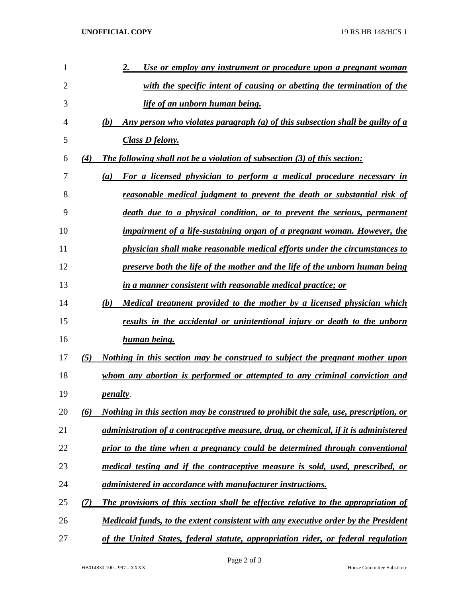| 1  |     | Use or employ any instrument or procedure upon a pregnant woman<br>2.                |
|----|-----|--------------------------------------------------------------------------------------|
| 2  |     | with the specific intent of causing or abetting the termination of the               |
| 3  |     | <u>life of an unborn human being.</u>                                                |
| 4  |     | Any person who violates paragraph (a) of this subsection shall be guilty of a<br>(b) |
| 5  |     | <b>Class D felony.</b>                                                               |
| 6  | (4) | The following shall not be a violation of subsection (3) of this section:            |
| 7  |     | For a licensed physician to perform a medical procedure necessary in<br>(a)          |
| 8  |     | <u>reasonable medical judgment to prevent the death or substantial risk of</u>       |
| 9  |     | death due to a physical condition, or to prevent the serious, permanent              |
| 10 |     | impairment of a life-sustaining organ of a pregnant woman. However, the              |
| 11 |     | physician shall make reasonable medical efforts under the circumstances to           |
| 12 |     | preserve both the life of the mother and the life of the unborn human being          |
| 13 |     | in a manner consistent with reasonable medical practice; or                          |
| 14 |     | (b)<br><u>Medical treatment provided to the mother by a licensed physician which</u> |
| 15 |     | results in the accidental or unintentional injury or death to the unborn             |
| 16 |     | <u>human being.</u>                                                                  |
| 17 | (5) | <u>Nothing in this section may be construed to subject the pregnant mother upon</u>  |
| 18 |     | whom any abortion is performed or attempted to any criminal conviction and           |
| 19 |     | <i>penalty.</i>                                                                      |
| 20 | (6) | Nothing in this section may be construed to prohibit the sale, use, prescription, or |
| 21 |     | administration of a contraceptive measure, drug, or chemical, if it is administered  |
| 22 |     | prior to the time when a pregnancy could be determined through conventional          |
| 23 |     | medical testing and if the contraceptive measure is sold, used, prescribed, or       |
| 24 |     | administered in accordance with manufacturer instructions.                           |
| 25 | (7) | The provisions of this section shall be effective relative to the appropriation of   |
| 26 |     | Medicaid funds, to the extent consistent with any executive order by the President   |
| 27 |     | of the United States, federal statute, appropriation rider, or federal regulation    |